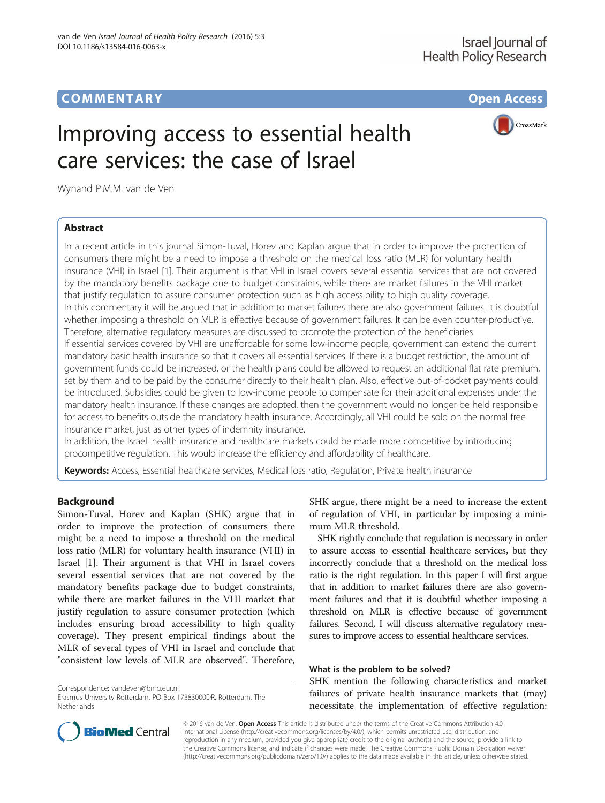# COMM EN TARY Open Access

CrossMark

# Improving access to essential health care services: the case of Israel

Wynand P.M.M. van de Ven

# Abstract

In a recent article in this journal Simon-Tuval, Horev and Kaplan argue that in order to improve the protection of consumers there might be a need to impose a threshold on the medical loss ratio (MLR) for voluntary health insurance (VHI) in Israel [[1\]](#page--1-0). Their argument is that VHI in Israel covers several essential services that are not covered by the mandatory benefits package due to budget constraints, while there are market failures in the VHI market that justify regulation to assure consumer protection such as high accessibility to high quality coverage. In this commentary it will be argued that in addition to market failures there are also government failures. It is doubtful whether imposing a threshold on MLR is effective because of government failures. It can be even counter-productive. Therefore, alternative regulatory measures are discussed to promote the protection of the beneficiaries.

If essential services covered by VHI are unaffordable for some low-income people, government can extend the current mandatory basic health insurance so that it covers all essential services. If there is a budget restriction, the amount of government funds could be increased, or the health plans could be allowed to request an additional flat rate premium, set by them and to be paid by the consumer directly to their health plan. Also, effective out-of-pocket payments could be introduced. Subsidies could be given to low-income people to compensate for their additional expenses under the mandatory health insurance. If these changes are adopted, then the government would no longer be held responsible for access to benefits outside the mandatory health insurance. Accordingly, all VHI could be sold on the normal free insurance market, just as other types of indemnity insurance.

In addition, the Israeli health insurance and healthcare markets could be made more competitive by introducing procompetitive regulation. This would increase the efficiency and affordability of healthcare.

Keywords: Access, Essential healthcare services, Medical loss ratio, Regulation, Private health insurance

# Background

Simon-Tuval, Horev and Kaplan (SHK) argue that in order to improve the protection of consumers there might be a need to impose a threshold on the medical loss ratio (MLR) for voluntary health insurance (VHI) in Israel [\[1](#page--1-0)]. Their argument is that VHI in Israel covers several essential services that are not covered by the mandatory benefits package due to budget constraints, while there are market failures in the VHI market that justify regulation to assure consumer protection (which includes ensuring broad accessibility to high quality coverage). They present empirical findings about the MLR of several types of VHI in Israel and conclude that "consistent low levels of MLR are observed". Therefore,

Correspondence: [vandeven@bmg.eur.nl](mailto:vandeven@bmg.eur.nl)

Erasmus University Rotterdam, PO Box 17383000DR, Rotterdam, The Netherlands

SHK argue, there might be a need to increase the extent of regulation of VHI, in particular by imposing a minimum MLR threshold.

SHK rightly conclude that regulation is necessary in order to assure access to essential healthcare services, but they incorrectly conclude that a threshold on the medical loss ratio is the right regulation. In this paper I will first argue that in addition to market failures there are also government failures and that it is doubtful whether imposing a threshold on MLR is effective because of government failures. Second, I will discuss alternative regulatory measures to improve access to essential healthcare services.

# What is the problem to be solved?

SHK mention the following characteristics and market failures of private health insurance markets that (may) necessitate the implementation of effective regulation:



© 2016 van de Ven. Open Access This article is distributed under the terms of the Creative Commons Attribution 4.0 International License [\(http://creativecommons.org/licenses/by/4.0/](http://creativecommons.org/licenses/by/4.0/)), which permits unrestricted use, distribution, and reproduction in any medium, provided you give appropriate credit to the original author(s) and the source, provide a link to the Creative Commons license, and indicate if changes were made. The Creative Commons Public Domain Dedication waiver [\(http://creativecommons.org/publicdomain/zero/1.0/](http://creativecommons.org/publicdomain/zero/1.0/)) applies to the data made available in this article, unless otherwise stated.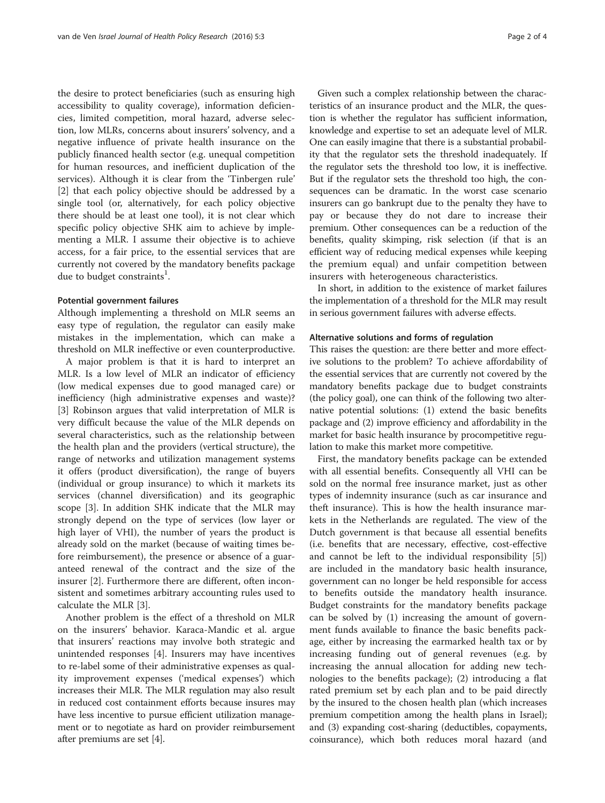the desire to protect beneficiaries (such as ensuring high accessibility to quality coverage), information deficiencies, limited competition, moral hazard, adverse selection, low MLRs, concerns about insurers' solvency, and a negative influence of private health insurance on the publicly financed health sector (e.g. unequal competition for human resources, and inefficient duplication of the services). Although it is clear from the 'Tinbergen rule' [[2\]](#page--1-0) that each policy objective should be addressed by a single tool (or, alternatively, for each policy objective there should be at least one tool), it is not clear which specific policy objective SHK aim to achieve by implementing a MLR. I assume their objective is to achieve access, for a fair price, to the essential services that are currently not covered by the mandatory benefits package due to budget constraints<sup>1</sup>.

#### Potential government failures

Although implementing a threshold on MLR seems an easy type of regulation, the regulator can easily make mistakes in the implementation, which can make a threshold on MLR ineffective or even counterproductive.

A major problem is that it is hard to interpret an MLR. Is a low level of MLR an indicator of efficiency (low medical expenses due to good managed care) or inefficiency (high administrative expenses and waste)? [[3\]](#page--1-0) Robinson argues that valid interpretation of MLR is very difficult because the value of the MLR depends on several characteristics, such as the relationship between the health plan and the providers (vertical structure), the range of networks and utilization management systems it offers (product diversification), the range of buyers (individual or group insurance) to which it markets its services (channel diversification) and its geographic scope [[3\]](#page--1-0). In addition SHK indicate that the MLR may strongly depend on the type of services (low layer or high layer of VHI), the number of years the product is already sold on the market (because of waiting times before reimbursement), the presence or absence of a guaranteed renewal of the contract and the size of the insurer [[2\]](#page--1-0). Furthermore there are different, often inconsistent and sometimes arbitrary accounting rules used to calculate the MLR [[3\]](#page--1-0).

Another problem is the effect of a threshold on MLR on the insurers' behavior. Karaca-Mandic et al. argue that insurers' reactions may involve both strategic and unintended responses [\[4](#page--1-0)]. Insurers may have incentives to re-label some of their administrative expenses as quality improvement expenses ('medical expenses') which increases their MLR. The MLR regulation may also result in reduced cost containment efforts because insures may have less incentive to pursue efficient utilization management or to negotiate as hard on provider reimbursement after premiums are set [\[4](#page--1-0)].

Given such a complex relationship between the characteristics of an insurance product and the MLR, the question is whether the regulator has sufficient information, knowledge and expertise to set an adequate level of MLR. One can easily imagine that there is a substantial probability that the regulator sets the threshold inadequately. If the regulator sets the threshold too low, it is ineffective. But if the regulator sets the threshold too high, the consequences can be dramatic. In the worst case scenario insurers can go bankrupt due to the penalty they have to pay or because they do not dare to increase their premium. Other consequences can be a reduction of the benefits, quality skimping, risk selection (if that is an efficient way of reducing medical expenses while keeping the premium equal) and unfair competition between insurers with heterogeneous characteristics.

In short, in addition to the existence of market failures the implementation of a threshold for the MLR may result in serious government failures with adverse effects.

## Alternative solutions and forms of regulation

This raises the question: are there better and more effective solutions to the problem? To achieve affordability of the essential services that are currently not covered by the mandatory benefits package due to budget constraints (the policy goal), one can think of the following two alternative potential solutions: (1) extend the basic benefits package and (2) improve efficiency and affordability in the market for basic health insurance by procompetitive regulation to make this market more competitive.

First, the mandatory benefits package can be extended with all essential benefits. Consequently all VHI can be sold on the normal free insurance market, just as other types of indemnity insurance (such as car insurance and theft insurance). This is how the health insurance markets in the Netherlands are regulated. The view of the Dutch government is that because all essential benefits (i.e. benefits that are necessary, effective, cost-effective and cannot be left to the individual responsibility [\[5](#page--1-0)]) are included in the mandatory basic health insurance, government can no longer be held responsible for access to benefits outside the mandatory health insurance. Budget constraints for the mandatory benefits package can be solved by (1) increasing the amount of government funds available to finance the basic benefits package, either by increasing the earmarked health tax or by increasing funding out of general revenues (e.g. by increasing the annual allocation for adding new technologies to the benefits package); (2) introducing a flat rated premium set by each plan and to be paid directly by the insured to the chosen health plan (which increases premium competition among the health plans in Israel); and (3) expanding cost-sharing (deductibles, copayments, coinsurance), which both reduces moral hazard (and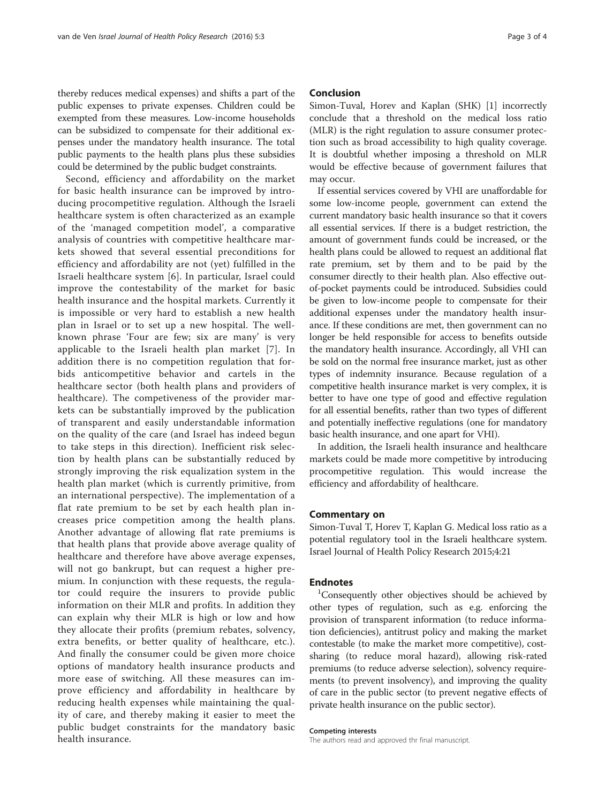thereby reduces medical expenses) and shifts a part of the public expenses to private expenses. Children could be exempted from these measures. Low-income households can be subsidized to compensate for their additional expenses under the mandatory health insurance. The total public payments to the health plans plus these subsidies could be determined by the public budget constraints.

Second, efficiency and affordability on the market for basic health insurance can be improved by introducing procompetitive regulation. Although the Israeli healthcare system is often characterized as an example of the 'managed competition model', a comparative analysis of countries with competitive healthcare markets showed that several essential preconditions for efficiency and affordability are not (yet) fulfilled in the Israeli healthcare system [\[6](#page--1-0)]. In particular, Israel could improve the contestability of the market for basic health insurance and the hospital markets. Currently it is impossible or very hard to establish a new health plan in Israel or to set up a new hospital. The wellknown phrase 'Four are few; six are many' is very applicable to the Israeli health plan market [\[7](#page--1-0)]. In addition there is no competition regulation that forbids anticompetitive behavior and cartels in the healthcare sector (both health plans and providers of healthcare). The competiveness of the provider markets can be substantially improved by the publication of transparent and easily understandable information on the quality of the care (and Israel has indeed begun to take steps in this direction). Inefficient risk selection by health plans can be substantially reduced by strongly improving the risk equalization system in the health plan market (which is currently primitive, from an international perspective). The implementation of a flat rate premium to be set by each health plan increases price competition among the health plans. Another advantage of allowing flat rate premiums is that health plans that provide above average quality of healthcare and therefore have above average expenses, will not go bankrupt, but can request a higher premium. In conjunction with these requests, the regulator could require the insurers to provide public information on their MLR and profits. In addition they can explain why their MLR is high or low and how they allocate their profits (premium rebates, solvency, extra benefits, or better quality of healthcare, etc.). And finally the consumer could be given more choice options of mandatory health insurance products and more ease of switching. All these measures can improve efficiency and affordability in healthcare by reducing health expenses while maintaining the quality of care, and thereby making it easier to meet the public budget constraints for the mandatory basic health insurance.

## Conclusion

Simon-Tuval, Horev and Kaplan (SHK) [[1\]](#page--1-0) incorrectly conclude that a threshold on the medical loss ratio (MLR) is the right regulation to assure consumer protection such as broad accessibility to high quality coverage. It is doubtful whether imposing a threshold on MLR would be effective because of government failures that may occur.

If essential services covered by VHI are unaffordable for some low-income people, government can extend the current mandatory basic health insurance so that it covers all essential services. If there is a budget restriction, the amount of government funds could be increased, or the health plans could be allowed to request an additional flat rate premium, set by them and to be paid by the consumer directly to their health plan. Also effective outof-pocket payments could be introduced. Subsidies could be given to low-income people to compensate for their additional expenses under the mandatory health insurance. If these conditions are met, then government can no longer be held responsible for access to benefits outside the mandatory health insurance. Accordingly, all VHI can be sold on the normal free insurance market, just as other types of indemnity insurance. Because regulation of a competitive health insurance market is very complex, it is better to have one type of good and effective regulation for all essential benefits, rather than two types of different and potentially ineffective regulations (one for mandatory basic health insurance, and one apart for VHI).

In addition, the Israeli health insurance and healthcare markets could be made more competitive by introducing procompetitive regulation. This would increase the efficiency and affordability of healthcare.

## Commentary on

Simon-Tuval T, Horev T, Kaplan G. Medical loss ratio as a potential regulatory tool in the Israeli healthcare system. Israel Journal of Health Policy Research 2015;4:21

## **Endnotes**

<sup>1</sup>Consequently other objectives should be achieved by other types of regulation, such as e.g. enforcing the provision of transparent information (to reduce information deficiencies), antitrust policy and making the market contestable (to make the market more competitive), costsharing (to reduce moral hazard), allowing risk-rated premiums (to reduce adverse selection), solvency requirements (to prevent insolvency), and improving the quality of care in the public sector (to prevent negative effects of private health insurance on the public sector).

#### Competing interests

The authors read and approved thr final manuscript.